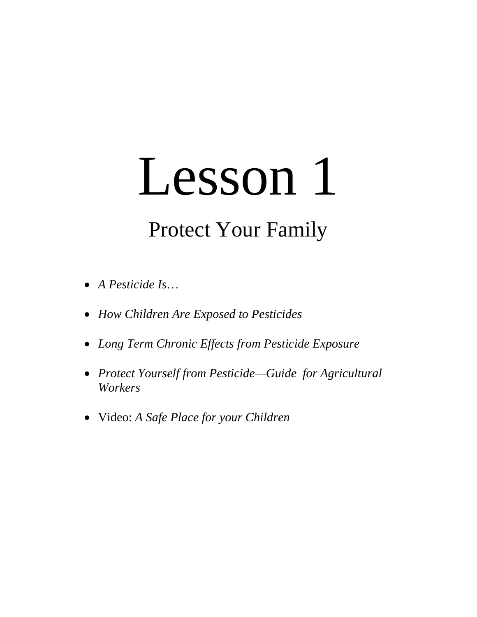# Lesson 1

# Protect Your Family

- *A Pesticide Is*…
- *How Children Are Exposed to Pesticides*
- *Long Term Chronic Effects from Pesticide Exposure*
- *Protect Yourself from Pesticide—Guide for Agricultural Workers*
- Video: *A Safe Place for your Children*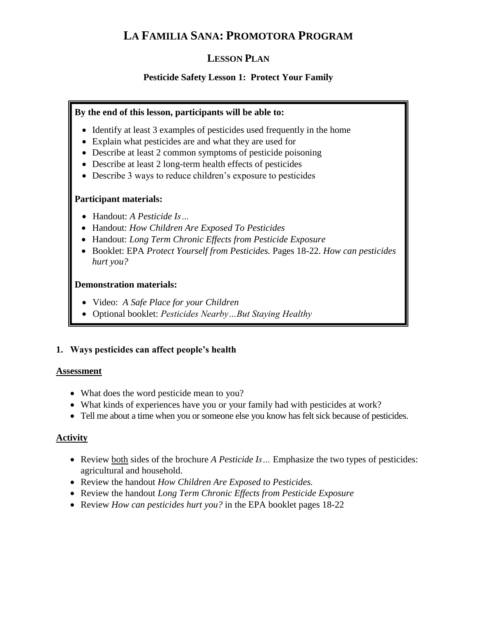## **LA FAMILIA SANA: PROMOTORA PROGRAM**

### **LESSON PLAN**

#### **Pesticide Safety Lesson 1: Protect Your Family**

#### **By the end of this lesson, participants will be able to:**

- Identify at least 3 examples of pesticides used frequently in the home
- Explain what pesticides are and what they are used for
- Describe at least 2 common symptoms of pesticide poisoning
- Describe at least 2 long-term health effects of pesticides
- Describe 3 ways to reduce children's exposure to pesticides

#### **Participant materials:**

- Handout: *A Pesticide Is…*
- Handout: *How Children Are Exposed To Pesticides*
- Handout: *Long Term Chronic Effects from Pesticide Exposure*
- Booklet: EPA *Protect Yourself from Pesticides.* Pages 18-22. *How can pesticides hurt you?*

#### **Demonstration materials:**

- Video: *A Safe Place for your Children*
- Optional booklet: *Pesticides Nearby…But Staying Healthy*

#### **1. Ways pesticides can affect people's health**

#### **Assessment**

- What does the word pesticide mean to you?
- What kinds of experiences have you or your family had with pesticides at work?
- Tell me about a time when you or someone else you know has felt sick because of pesticides.

#### **Activity**

- Review both sides of the brochure *A Pesticide Is…* Emphasize the two types of pesticides: agricultural and household.
- Review the handout *How Children Are Exposed to Pesticides.*
- Review the handout *Long Term Chronic Effects from Pesticide Exposure*
- Review *How can pesticides hurt you?* in the EPA booklet pages 18-22